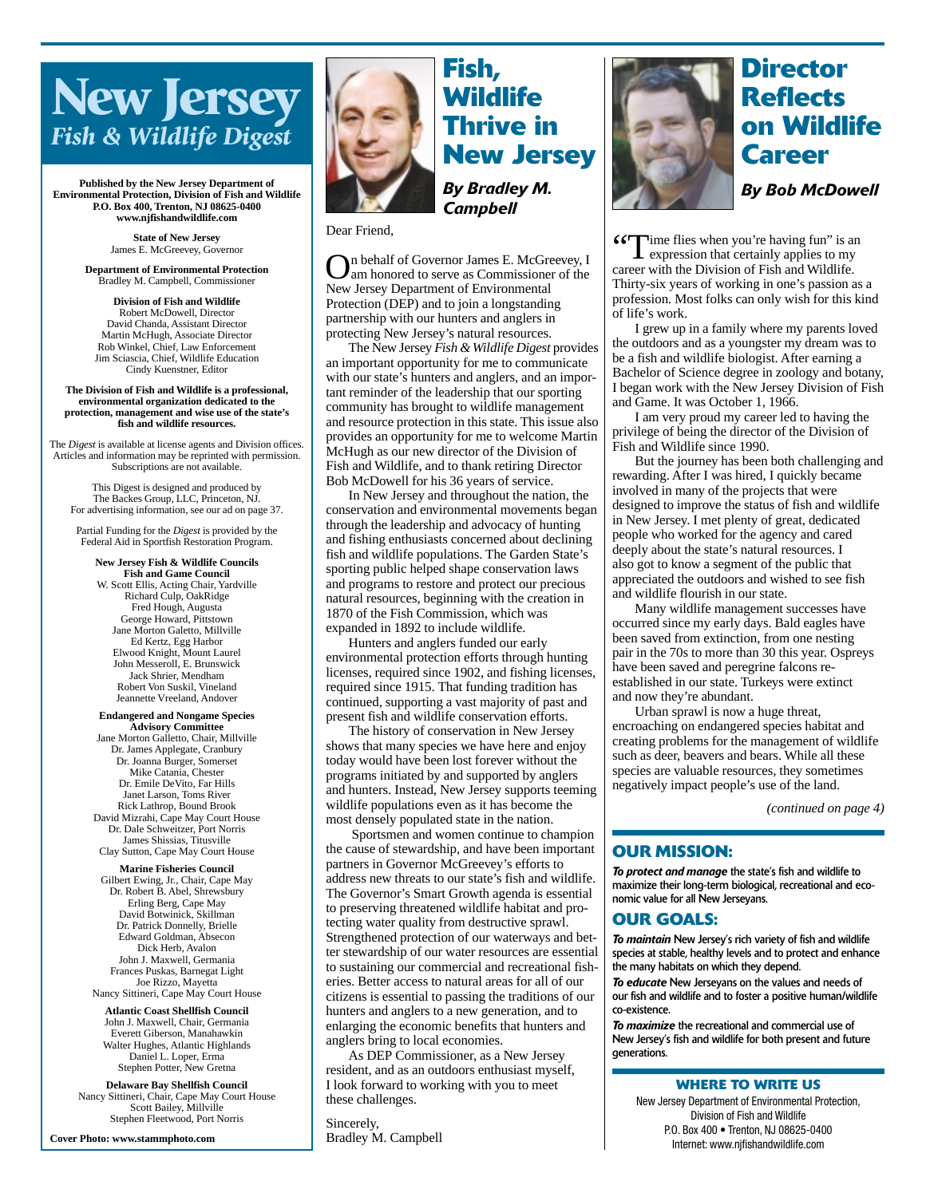# **New Jersey** *Fish & Wildlife Digest*

**Published by the New Jersey Department of Environmental Protection, Division of Fish and Wildlife P.O. Box 400, Trenton, NJ 08625-0400 www.njfishandwildlife.com**

> **State of New Jersey** James E. McGreevey, Governor

**Department of Environmental Protection** Bradley M. Campbell, Commissioner

**Division of Fish and Wildlife** Robert McDowell, Director David Chanda, Assistant Director Martin McHugh, Associate Director Rob Winkel, Chief, Law Enforcement Jim Sciascia, Chief, Wildlife Education Cindy Kuenstner, Editor

**The Division of Fish and Wildlife is a professional, environmental organization dedicated to the protection, management and wise use of the state's fish and wildlife resources.**

The *Digest* is available at license agents and Division offices. Articles and information may be reprinted with permission. Subscriptions are not available.

This Digest is designed and produced by The Backes Group, LLC, Princeton, NJ. For advertising information, see our ad on page 37.

Partial Funding for the *Digest* is provided by the Federal Aid in Sportfish Restoration Program.

**New Jersey Fish & Wildlife Councils Fish and Game Council** W. Scott Ellis, Acting Chair, Yardville Richard Culp, OakRidge Fred Hough, Augusta George Howard, Pittstown Jane Morton Galetto, Millville Ed Kertz, Egg Harbor Elwood Knight, Mount Laurel John Messeroll, E. Brunswick Jack Shrier, Mendham Robert Von Suskil, Vineland Jeannette Vreeland, Andover

**Endangered and Nongame Species**

**Advisory Committee** Jane Morton Galletto, Chair, Millville Dr. James Applegate, Cranbury Dr. Joanna Burger, Somerset Mike Catania, Chester Dr. Emile DeVito, Far Hills Janet Larson, Toms River Rick Lathrop, Bound Brook David Mizrahi, Cape May Court House Dr. Dale Schweitzer, Port Norris James Shissias, Titusville Clay Sutton, Cape May Court House

**Marine Fisheries Council** Gilbert Ewing, Jr., Chair, Cape May Dr. Robert B. Abel, Shrewsbury Erling Berg, Cape May David Botwinick, Skillman Dr. Patrick Donnelly, Brielle Edward Goldman, Absecon Dick Herb, Avalon John J. Maxwell, Germania Frances Puskas, Barnegat Light Joe Rizzo, Mayetta Nancy Sittineri, Cape May Court House

**Atlantic Coast Shellfish Council** John J. Maxwell, Chair, Germania Everett Giberson, Manahawkin Walter Hughes, Atlantic Highlands Daniel L. Loper, Erma Stephen Potter, New Gretna

**Delaware Bay Shellfish Council** Nancy Sittineri, Chair, Cape May Court House Scott Bailey, Millville Stephen Fleetwood, Port Norris

**Cover Photo: www.stammphoto.com**



# **Wildlife Thrive in New Jersey** *By Bradley M. Campbell*

Dear Friend,

On behalf of Governor James E. McGreevey, I am honored to serve as Commissioner of the New Jersey Department of Environmental Protection (DEP) and to join a longstanding partnership with our hunters and anglers in protecting New Jersey's natural resources.

The New Jersey *Fish & Wildlife Digest* provides an important opportunity for me to communicate with our state's hunters and anglers, and an important reminder of the leadership that our sporting community has brought to wildlife management and resource protection in this state. This issue also provides an opportunity for me to welcome Martin McHugh as our new director of the Division of Fish and Wildlife, and to thank retiring Director Bob McDowell for his 36 years of service.

In New Jersey and throughout the nation, the conservation and environmental movements began through the leadership and advocacy of hunting and fishing enthusiasts concerned about declining fish and wildlife populations. The Garden State's sporting public helped shape conservation laws and programs to restore and protect our precious natural resources, beginning with the creation in 1870 of the Fish Commission, which was expanded in 1892 to include wildlife.

Hunters and anglers funded our early environmental protection efforts through hunting licenses, required since 1902, and fishing licenses, required since 1915. That funding tradition has continued, supporting a vast majority of past and present fish and wildlife conservation efforts.

The history of conservation in New Jersey shows that many species we have here and enjoy today would have been lost forever without the programs initiated by and supported by anglers and hunters. Instead, New Jersey supports teeming wildlife populations even as it has become the most densely populated state in the nation.

Sportsmen and women continue to champion the cause of stewardship, and have been important partners in Governor McGreevey's efforts to address new threats to our state's fish and wildlife. The Governor's Smart Growth agenda is essential to preserving threatened wildlife habitat and protecting water quality from destructive sprawl. Strengthened protection of our waterways and better stewardship of our water resources are essential to sustaining our commercial and recreational fisheries. Better access to natural areas for all of our citizens is essential to passing the traditions of our hunters and anglers to a new generation, and to enlarging the economic benefits that hunters and anglers bring to local economies.

As DEP Commissioner, as a New Jersey resident, and as an outdoors enthusiast myself, I look forward to working with you to meet these challenges.

Sincerely, Bradley M. Campbell



# **Director Reflects on Wildlife Career**

*By Bob McDowell*

66<sup>T</sup> ime flies when you're having fun" is an

expression that certainly applies to my career with the Division of Fish and Wildlife. Thirty-six years of working in one's passion as a profession. Most folks can only wish for this kind of life's work.

I grew up in a family where my parents loved the outdoors and as a youngster my dream was to be a fish and wildlife biologist. After earning a Bachelor of Science degree in zoology and botany, I began work with the New Jersey Division of Fish and Game. It was October 1, 1966.

I am very proud my career led to having the privilege of being the director of the Division of Fish and Wildlife since 1990.

But the journey has been both challenging and rewarding. After I was hired, I quickly became involved in many of the projects that were designed to improve the status of fish and wildlife in New Jersey. I met plenty of great, dedicated people who worked for the agency and cared deeply about the state's natural resources. I also got to know a segment of the public that appreciated the outdoors and wished to see fish and wildlife flourish in our state.

Many wildlife management successes have occurred since my early days. Bald eagles have been saved from extinction, from one nesting pair in the 70s to more than 30 this year. Ospreys have been saved and peregrine falcons reestablished in our state. Turkeys were extinct and now they're abundant.

Urban sprawl is now a huge threat, encroaching on endangered species habitat and creating problems for the management of wildlife such as deer, beavers and bears. While all these species are valuable resources, they sometimes negatively impact people's use of the land.

*(continued on page 4)*

### **OUR MISSION:**

*To protect and manage* the state's fish and wildlife to maximize their long-term biological, recreational and economic value for all New Jerseyans.

### **OUR GOALS:**

*To maintain* New Jersey's rich variety of fish and wildlife species at stable, healthy levels and to protect and enhance the many habitats on which they depend.

*To educate* New Jerseyans on the values and needs of our fish and wildlife and to foster a positive human/wildlife co-existence.

*To maximize* the recreational and commercial use of New Jersey's fish and wildlife for both present and future generations.

#### **WHERE TO WRITE US**

New Jersey Department of Environmental Protection, Division of Fish and Wildlife P.O. Box 400 • Trenton, NJ 08625-0400 Internet: www.njfishandwildlife.com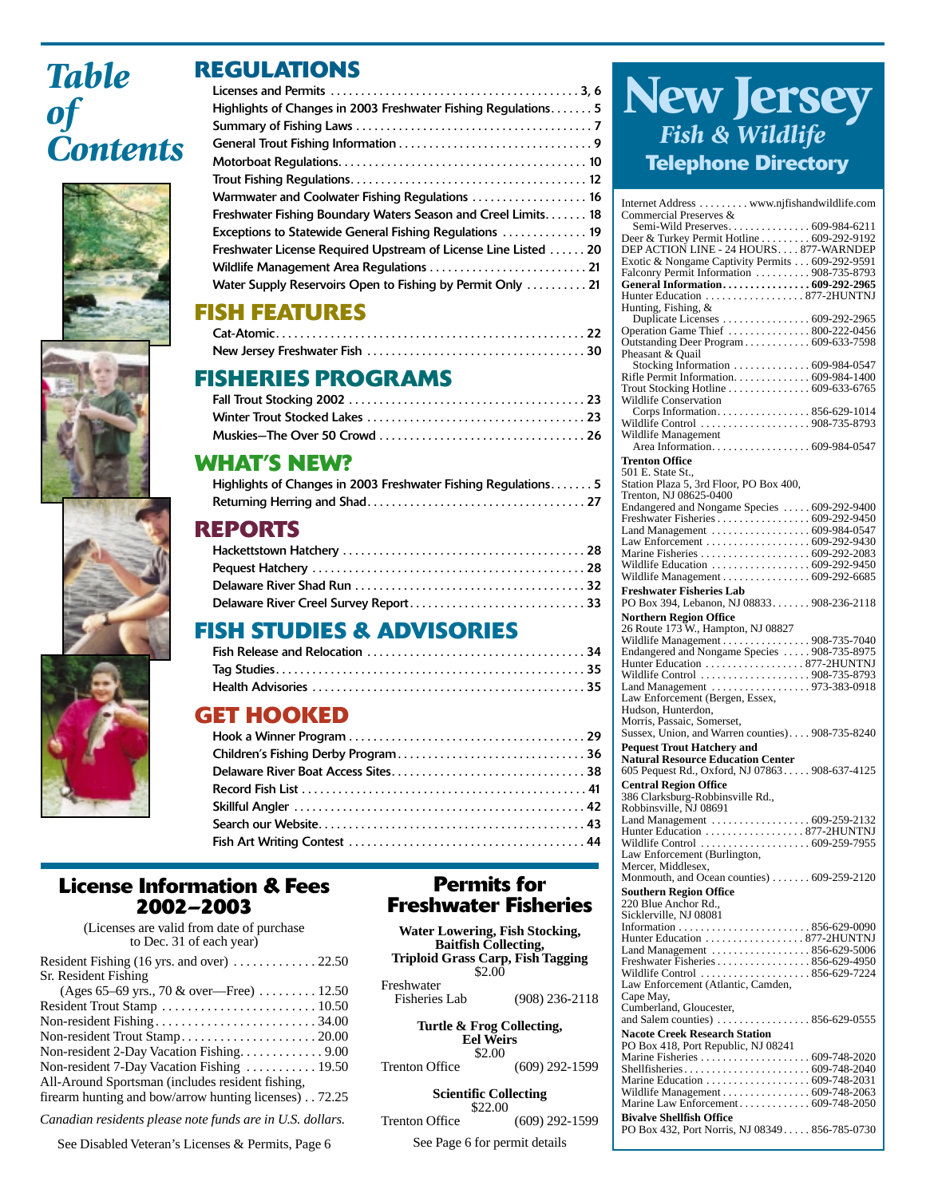# *Table of Contents*







# **REGULATIONS**

| Highlights of Changes in 2003 Freshwater Fishing Regulations 5 |
|----------------------------------------------------------------|
|                                                                |
|                                                                |
|                                                                |
|                                                                |
| Warmwater and Coolwater Fishing Regulations  16                |
| Freshwater Fishing Boundary Waters Season and Creel Limits 18  |
| <b>Exceptions to Statewide General Fishing Regulations</b> 19  |
| Freshwater License Required Upstream of License Line Listed 20 |
|                                                                |
| Water Supply Reservoirs Open to Fishing by Permit Only  21     |
|                                                                |

# **FISH FEATURES**

# **FISHERIES PROGRAMS**

## **WHAT'S NEW?**

| Highlights of Changes in 2003 Freshwater Fishing Regulations5 |  |
|---------------------------------------------------------------|--|
|                                                               |  |

## **REPORTS**

| Delaware River Creel Survey Report33 |  |
|--------------------------------------|--|

# **FISH STUDIES & ADVISORIES**

## **GET HOOKED**

### **License Information & Fees 2002–2003**

(Licenses are valid from date of purchase to Dec. 31 of each year) Resident Fishing (16 yrs. and over)  $\dots \dots \dots \dots 22.50$ Sr. Resident Fishing (Ages 65–69 yrs., 70 & over—Free) . . . . . . . . . 12.50 Resident Trout Stamp . . . . . . . . . . . . . . . . . . . . . . . . 10.50 Non-resident Fishing . . . . . . . . . . . . . . . . . . . . . . . . . 34.00 Non-resident Trout Stamp. . . . . . . . . . . . . . . . . . . . . 20.00 Non-resident 2-Day Vacation Fishing. . . . . . . . . . . . . 9.00 Non-resident 7-Day Vacation Fishing . . . . . . . . . . . 19.50

All-Around Sportsman (includes resident fishing, firearm hunting and bow/arrow hunting licenses) . . 72.25

*Canadian residents please note funds are in U.S. dollars.*

See Disabled Veteran's Licenses & Permits, Page 6

### **Permits for Freshwater Fisheries**

| Water Lowering, Fish Stocking,<br><b>Baitfish Collecting,</b><br><b>Triploid Grass Carp, Fish Tagging</b><br>\$2.00 |                  |  |
|---------------------------------------------------------------------------------------------------------------------|------------------|--|
| Freshwater                                                                                                          |                  |  |
| Fisheries Lab                                                                                                       | $(908)$ 236-2118 |  |
| Turtle & Frog Collecting,<br><b>Eel Weirs</b><br>\$2.00                                                             |                  |  |
| <b>Trenton Office</b>                                                                                               | $(609)$ 292-1599 |  |
| <b>Scientific Collecting</b><br>\$22.00                                                                             |                  |  |
| <b>Trenton Office</b>                                                                                               | $(609)$ 292-1599 |  |
| See Page 6 for permit details                                                                                       |                  |  |

# **New Jersey** *Fish & Wildlife* **Telephone Directory**

| Internet Address www.njfishandwildlife.com<br>Commercial Preserves &              |  |
|-----------------------------------------------------------------------------------|--|
| Semi-Wild Preserves 609-984-6211                                                  |  |
| Deer & Turkey Permit Hotline  609-292-9192                                        |  |
| DEP ACTION LINE - 24 HOURS 877-WARNDEP                                            |  |
| Exotic & Nongame Captivity Permits 609-292-9591                                   |  |
| Falconry Permit Information 908-735-8793                                          |  |
| General Information 609-292-2965                                                  |  |
| Hunter Education 877-2HUNTNJ                                                      |  |
| Hunting, Fishing, &                                                               |  |
| Duplicate Licenses 609-292-2965                                                   |  |
| Operation Game Thief  800-222-0456<br>Outstanding Deer Program 609-633-7598       |  |
| Pheasant & Quail                                                                  |  |
|                                                                                   |  |
| Rifle Permit Information. 609-984-1400                                            |  |
| Trout Stocking Hotline 609-633-6765                                               |  |
| <b>Wildlife Conservation</b>                                                      |  |
| Corps Information856-629-1014                                                     |  |
| Wildlife Control 908-735-8793                                                     |  |
| Wildlife Management                                                               |  |
| Area Information. 609-984-0547                                                    |  |
| <b>Trenton Office</b>                                                             |  |
| 501 E. State St.,                                                                 |  |
| Station Plaza 5, 3rd Floor, PO Box 400,                                           |  |
| Trenton, NJ 08625-0400                                                            |  |
| Endangered and Nongame Species  609-292-9400<br>Freshwater Fisheries 609-292-9450 |  |
|                                                                                   |  |
|                                                                                   |  |
|                                                                                   |  |
| Wildlife Education  609-292-9450                                                  |  |
| Wildlife Management 609-292-6685                                                  |  |
| <b>Freshwater Fisheries Lab</b>                                                   |  |
| PO Box 394, Lebanon, NJ 08833 908-236-2118                                        |  |
| <b>Northern Region Office</b>                                                     |  |
| 26 Route 173 W., Hampton, NJ 08827                                                |  |
| Wildlife Management  908-735-7040                                                 |  |
| Endangered and Nongame Species  908-735-8975                                      |  |
| Hunter Education 877-2HUNTNJ                                                      |  |
| Wildlife Control 908-735-8793                                                     |  |
| Land Management 973-383-0918                                                      |  |
| Law Enforcement (Bergen, Essex,                                                   |  |
| Hudson, Hunterdon,                                                                |  |
| Morris, Passaic, Somerset,                                                        |  |
| Sussex, Union, and Warren counties) 908-735-8240                                  |  |
| <b>Pequest Trout Hatchery and</b>                                                 |  |
| <b>Natural Resource Education Center</b>                                          |  |
| 605 Pequest Rd., Oxford, NJ 07863 908-637-4125                                    |  |
| <b>Central Region Office</b>                                                      |  |
|                                                                                   |  |
| 386 Clarksburg-Robbinsville Rd.,                                                  |  |
| Robbinsville, NJ 08691                                                            |  |
| Land Management  609-259-2132                                                     |  |
| Hunter Education 877-2HUNTNJ                                                      |  |
|                                                                                   |  |
| Law Enforcement (Burlington,                                                      |  |
| Mercer, Middlesex,                                                                |  |
| Monmouth, and Ocean counties)  609-259-2120<br><b>Southern Region Office</b>      |  |
| 220 Blue Anchor Rd.,                                                              |  |
| Sicklerville, NJ 08081                                                            |  |
|                                                                                   |  |
| Hunter Education 877-2HUNTNJ                                                      |  |
| Land Management 856-629-5006                                                      |  |
| Freshwater Fisheries 856-629-4950                                                 |  |
| Wildlife Control  856-629-7224                                                    |  |
| Law Enforcement (Atlantic, Camden,                                                |  |
| Cape May,                                                                         |  |
| Cumberland, Gloucester,                                                           |  |
| and Salem counties) 856-629-0555                                                  |  |
| <b>Nacote Creek Research Station</b>                                              |  |
| PO Box 418, Port Republic, NJ 08241                                               |  |
|                                                                                   |  |
|                                                                                   |  |
| Wildlife Management 609-748-2063                                                  |  |
| Marine Law Enforcement 609-748-2050                                               |  |
| <b>Bivalve Shellfish Office</b>                                                   |  |
| PO Box 432, Port Norris, NJ 08349856-785-0730                                     |  |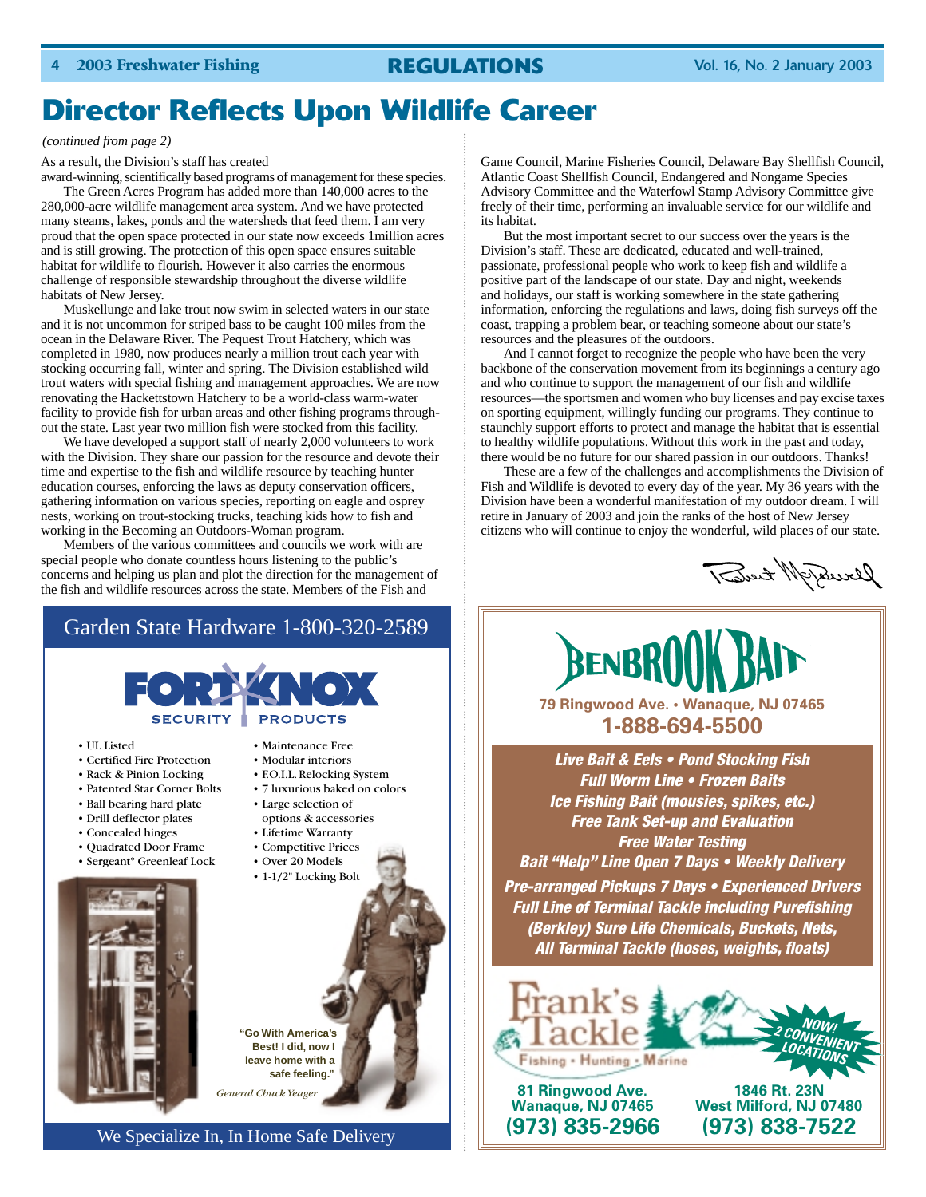# **Director Reflects Upon Wildlife Career**

#### *(continued from page 2)*

As a result, the Division's staff has created

award-winning, scientifically based programs of management for these species.

The Green Acres Program has added more than 140,000 acres to the 280,000-acre wildlife management area system. And we have protected many steams, lakes, ponds and the watersheds that feed them. I am very proud that the open space protected in our state now exceeds 1million acres and is still growing. The protection of this open space ensures suitable habitat for wildlife to flourish. However it also carries the enormous challenge of responsible stewardship throughout the diverse wildlife habitats of New Jersey.

Muskellunge and lake trout now swim in selected waters in our state and it is not uncommon for striped bass to be caught 100 miles from the ocean in the Delaware River. The Pequest Trout Hatchery, which was completed in 1980, now produces nearly a million trout each year with stocking occurring fall, winter and spring. The Division established wild trout waters with special fishing and management approaches. We are now renovating the Hackettstown Hatchery to be a world-class warm-water facility to provide fish for urban areas and other fishing programs throughout the state. Last year two million fish were stocked from this facility.

We have developed a support staff of nearly 2,000 volunteers to work with the Division. They share our passion for the resource and devote their time and expertise to the fish and wildlife resource by teaching hunter education courses, enforcing the laws as deputy conservation officers, gathering information on various species, reporting on eagle and osprey nests, working on trout-stocking trucks, teaching kids how to fish and working in the Becoming an Outdoors-Woman program.

Members of the various committees and councils we work with are special people who donate countless hours listening to the public's concerns and helping us plan and plot the direction for the management of the fish and wildlife resources across the state. Members of the Fish and

### Garden State Hardware 1-800-320-2589



• UL Listed

- Certified Fire Protection
- Rack & Pinion Locking
- Patented Star Corner Bolts
- Ball bearing hard plate
- Drill deflector plates
- Concealed hinges
- Quadrated Door Frame
- Sergeant\* Greenleaf Lock



- Maintenance Free
- Modular interiors
- F.O.I.L. Relocking System
- 7 luxurious baked on colors • Large selection of
- options & accessories
- Lifetime Warranty
- Competitive Prices
- Over 20 Models
- 1-1/2" Locking Bolt

**Best! I did, now I leave home with a safe feeling."**

**"Go With America's** 

*General Chuck Yeager*

We Specialize In, In Home Safe Delivery

Game Council, Marine Fisheries Council, Delaware Bay Shellfish Council, Atlantic Coast Shellfish Council, Endangered and Nongame Species Advisory Committee and the Waterfowl Stamp Advisory Committee give freely of their time, performing an invaluable service for our wildlife and its habitat.

But the most important secret to our success over the years is the Division's staff. These are dedicated, educated and well-trained, passionate, professional people who work to keep fish and wildlife a positive part of the landscape of our state. Day and night, weekends and holidays, our staff is working somewhere in the state gathering information, enforcing the regulations and laws, doing fish surveys off the coast, trapping a problem bear, or teaching someone about our state's resources and the pleasures of the outdoors.

And I cannot forget to recognize the people who have been the very backbone of the conservation movement from its beginnings a century ago and who continue to support the management of our fish and wildlife resources—the sportsmen and women who buy licenses and pay excise taxes on sporting equipment, willingly funding our programs. They continue to staunchly support efforts to protect and manage the habitat that is essential to healthy wildlife populations. Without this work in the past and today, there would be no future for our shared passion in our outdoors. Thanks!

These are a few of the challenges and accomplishments the Division of Fish and Wildlife is devoted to every day of the year. My 36 years with the Division have been a wonderful manifestation of my outdoor dream. I will retire in January of 2003 and join the ranks of the host of New Jersey citizens who will continue to enjoy the wonderful, wild places of our state.

Deverf 11 tento)



*Live Bait & Eels • Pond Stocking Fish Full Worm Line • Frozen Baits Ice Fishing Bait (mousies, spikes, etc.) Free Tank Set-up and Evaluation Free Water Testing Bait "Help" Line Open 7 Days • Weekly Delivery Pre-arranged Pickups 7 Days • Experienced Drivers Full Line of Terminal Tackle including Purefishing (Berkley) Sure Life Chemicals, Buckets, Nets, All Terminal Tackle (hoses, weights, floats)*



**81 Ringwood Ave. 1846 Rt. 23N**

**West Milford, NJ 07480 (973) 835-2966 (973) 838-7522**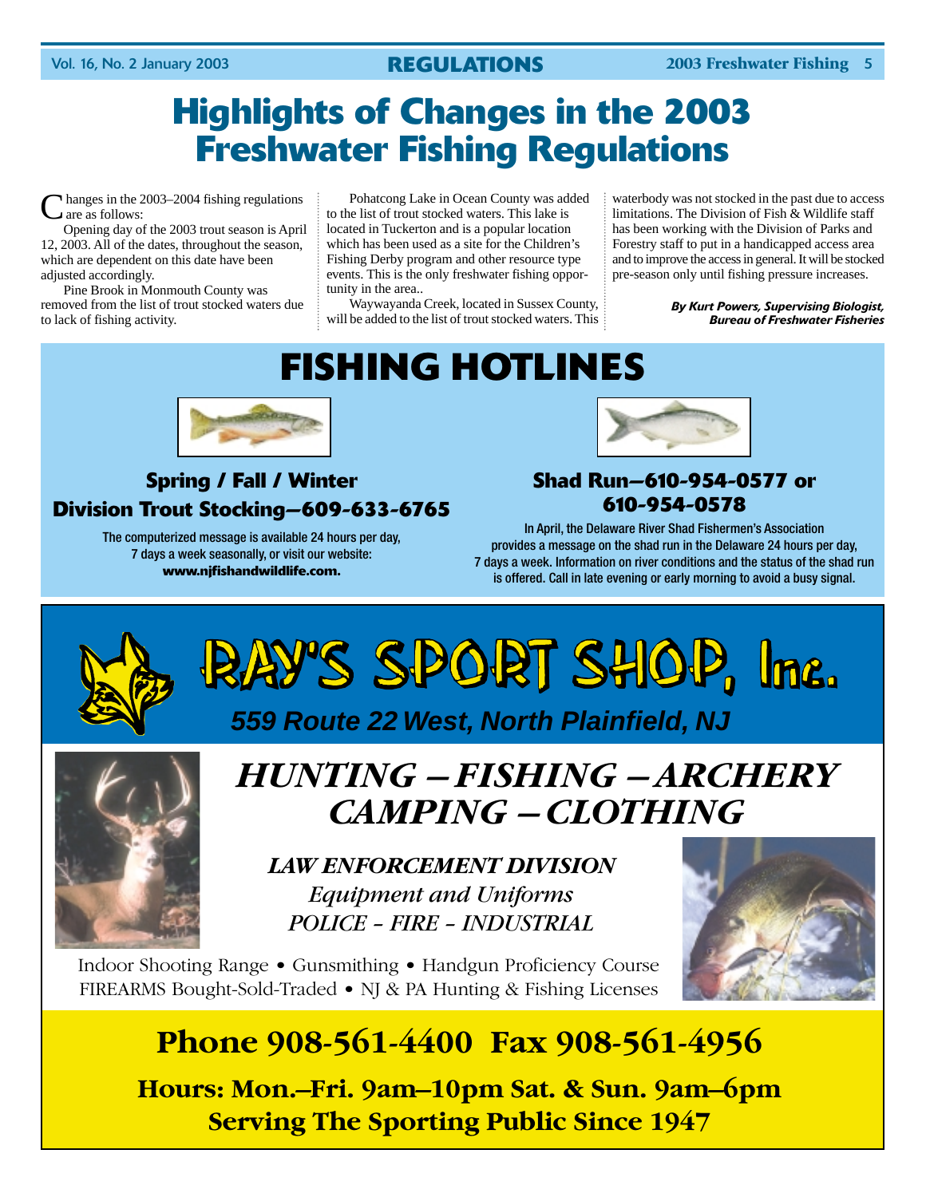# **Highlights of Changes in the 2003 Freshwater Fishing Regulations**

 $\lambda$  hanges in the 2003–2004 fishing regulations are as follows:

Opening day of the 2003 trout season is April 12, 2003. All of the dates, throughout the season, which are dependent on this date have been adjusted accordingly.

Pine Brook in Monmouth County was removed from the list of trout stocked waters due to lack of fishing activity.

Pohatcong Lake in Ocean County was added to the list of trout stocked waters. This lake is located in Tuckerton and is a popular location which has been used as a site for the Children's Fishing Derby program and other resource type events. This is the only freshwater fishing opportunity in the area..

Waywayanda Creek, located in Sussex County, will be added to the list of trout stocked waters. This

waterbody was not stocked in the past due to access limitations. The Division of Fish & Wildlife staff has been working with the Division of Parks and Forestry staff to put in a handicapped access area and to improve the access in general. It will be stocked pre-season only until fishing pressure increases.

> *By Kurt Powers, Supervising Biologist, Bureau of Freshwater Fisheries*

# **FISHING HOTLINES**



# **Spring / Fall / Winter Division Trout Stocking—609-633-6765**

The computerized message is available 24 hours per day, 7 days a week seasonally, or visit our website: **www.njfishandwildlife.com.**



## **Shad Run—610-954-0577 or 610-954-0578**

In April, the Delaware River Shad Fishermen's Association provides a message on the shad run in the Delaware 24 hours per day, 7 days a week. Information on river conditions and the status of the shad run is offered. Call in late evening or early morning to avoid a busy signal.



# *HUNTING – FISHING – ARCHERY CAMPING – CLOTHING*

*LAW ENFORCEMENT DIVISION Equipment and Uniforms POLICE – FIRE – INDUSTRIAL*

Indoor Shooting Range • Gunsmithing • Handgun Proficiency Course FIREARMS Bought-Sold-Traded • NJ & PA Hunting & Fishing Licenses



# **Phone 908-561-4400 Fax 908-561-4956**

**Hours: Mon.–Fri. 9am–10pm Sat. & Sun. 9am–6pm Serving The Sporting Public Since 1947**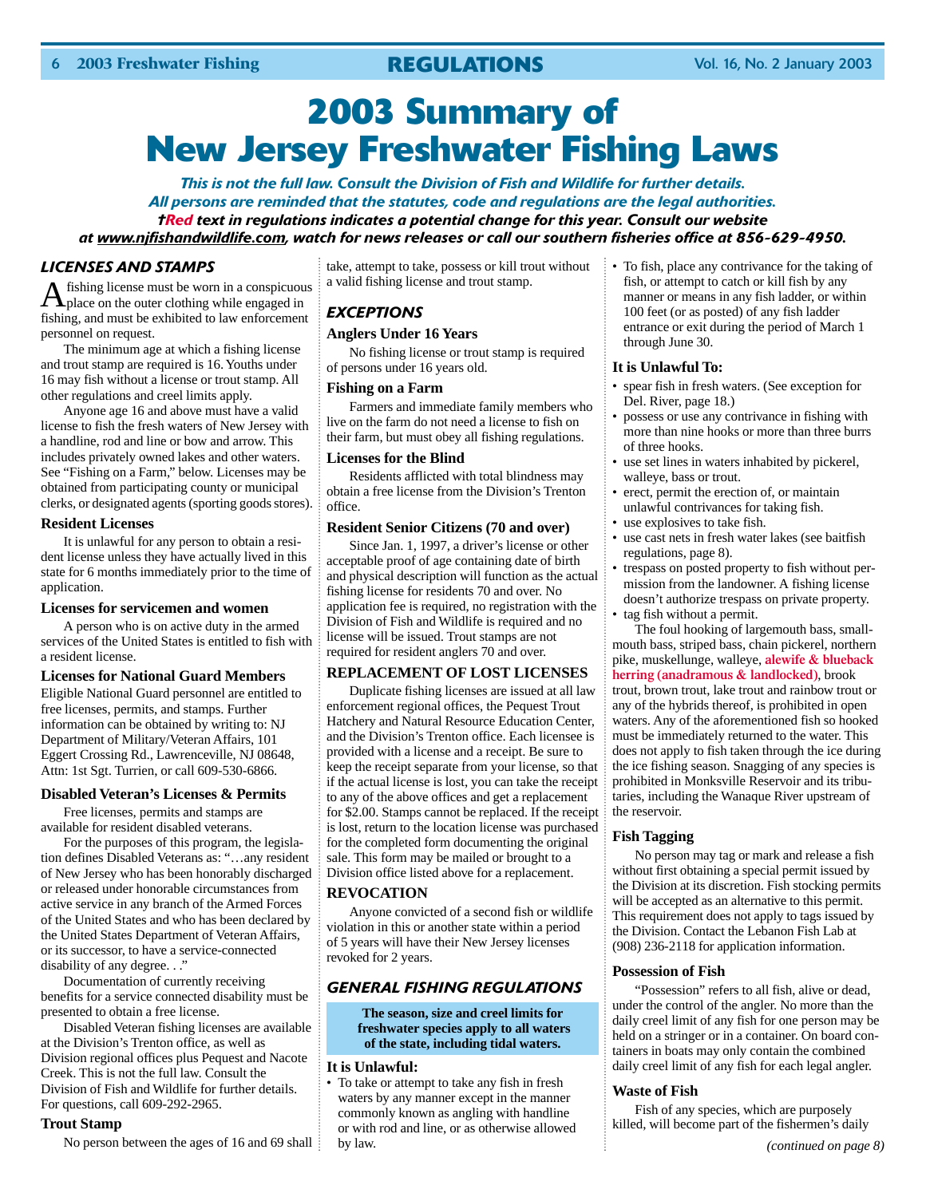# **2003 Summary of New Jersey Freshwater Fishing Laws**

*This is not the full law. Consult the Division of Fish and Wildlife for further details. All persons are reminded that the statutes, code and regulations are the legal authorities. †Red text in regulations indicates a potential change for this year. Consult our website at www.njfishandwildlife.com, watch for news releases or call our southern fisheries office at 856-629-4950.*

#### *LICENSES AND STAMPS*

Afishing license must be worn in a conspicuous place on the outer clothing while engaged in fishing, and must be exhibited to law enforcement personnel on request.

The minimum age at which a fishing license and trout stamp are required is 16. Youths under 16 may fish without a license or trout stamp. All other regulations and creel limits apply.

Anyone age 16 and above must have a valid license to fish the fresh waters of New Jersey with a handline, rod and line or bow and arrow. This includes privately owned lakes and other waters. See "Fishing on a Farm," below. Licenses may be obtained from participating county or municipal clerks, or designated agents (sporting goods stores).

#### **Resident Licenses**

It is unlawful for any person to obtain a resident license unless they have actually lived in this state for 6 months immediately prior to the time of application.

#### **Licenses for servicemen and women**

A person who is on active duty in the armed services of the United States is entitled to fish with a resident license.

#### **Licenses for National Guard Members**

Eligible National Guard personnel are entitled to free licenses, permits, and stamps. Further information can be obtained by writing to: NJ Department of Military/Veteran Affairs, 101 Eggert Crossing Rd., Lawrenceville, NJ 08648, Attn: 1st Sgt. Turrien, or call 609-530-6866.

#### **Disabled Veteran's Licenses & Permits**

Free licenses, permits and stamps are available for resident disabled veterans.

For the purposes of this program, the legislation defines Disabled Veterans as: "…any resident of New Jersey who has been honorably discharged or released under honorable circumstances from active service in any branch of the Armed Forces of the United States and who has been declared by the United States Department of Veteran Affairs, or its successor, to have a service-connected disability of any degree..."

Documentation of currently receiving benefits for a service connected disability must be presented to obtain a free license.

Disabled Veteran fishing licenses are available at the Division's Trenton office, as well as Division regional offices plus Pequest and Nacote Creek. This is not the full law. Consult the Division of Fish and Wildlife for further details. For questions, call 609-292-2965.

#### **Trout Stamp**

No person between the ages of 16 and 69 shall

take, attempt to take, possess or kill trout without a valid fishing license and trout stamp.

### *EXCEPTIONS*

#### **Anglers Under 16 Years**

No fishing license or trout stamp is required of persons under 16 years old.

#### **Fishing on a Farm**

Farmers and immediate family members who live on the farm do not need a license to fish on their farm, but must obey all fishing regulations.

#### **Licenses for the Blind**

Residents afflicted with total blindness may obtain a free license from the Division's Trenton office.

#### **Resident Senior Citizens (70 and over)**

Since Jan. 1, 1997, a driver's license or other acceptable proof of age containing date of birth and physical description will function as the actual fishing license for residents 70 and over. No application fee is required, no registration with the Division of Fish and Wildlife is required and no license will be issued. Trout stamps are not required for resident anglers 70 and over.

#### **REPLACEMENT OF LOST LICENSES**

Duplicate fishing licenses are issued at all law enforcement regional offices, the Pequest Trout Hatchery and Natural Resource Education Center, and the Division's Trenton office. Each licensee is provided with a license and a receipt. Be sure to keep the receipt separate from your license, so that if the actual license is lost, you can take the receipt to any of the above offices and get a replacement for \$2.00. Stamps cannot be replaced. If the receipt is lost, return to the location license was purchased for the completed form documenting the original sale. This form may be mailed or brought to a Division office listed above for a replacement.

#### **REVOCATION**

Anyone convicted of a second fish or wildlife violation in this or another state within a period of 5 years will have their New Jersey licenses revoked for 2 years.

### *GENERAL FISHING REGULATIONS*

**The season, size and creel limits for freshwater species apply to all waters of the state, including tidal waters.**

#### **It is Unlawful:**

• To take or attempt to take any fish in fresh waters by any manner except in the manner commonly known as angling with handline or with rod and line, or as otherwise allowed by law.

• To fish, place any contrivance for the taking of fish, or attempt to catch or kill fish by any manner or means in any fish ladder, or within 100 feet (or as posted) of any fish ladder entrance or exit during the period of March 1 through June 30.

#### **It is Unlawful To:**

- spear fish in fresh waters. (See exception for Del. River, page 18.)
- possess or use any contrivance in fishing with more than nine hooks or more than three burrs of three hooks.
- use set lines in waters inhabited by pickerel, walleye, bass or trout.
- erect, permit the erection of, or maintain unlawful contrivances for taking fish.
- use explosives to take fish.
- use cast nets in fresh water lakes (see baitfish regulations, page 8).
- trespass on posted property to fish without permission from the landowner. A fishing license doesn't authorize trespass on private property. • tag fish without a permit.

The foul hooking of largemouth bass, smallmouth bass, striped bass, chain pickerel, northern pike, muskellunge, walleye, **alewife & blueback herring (anadramous & landlocked)**, brook trout, brown trout, lake trout and rainbow trout or any of the hybrids thereof, is prohibited in open waters. Any of the aforementioned fish so hooked must be immediately returned to the water. This does not apply to fish taken through the ice during the ice fishing season. Snagging of any species is prohibited in Monksville Reservoir and its tributaries, including the Wanaque River upstream of the reservoir.

#### **Fish Tagging**

No person may tag or mark and release a fish without first obtaining a special permit issued by the Division at its discretion. Fish stocking permits will be accepted as an alternative to this permit. This requirement does not apply to tags issued by the Division. Contact the Lebanon Fish Lab at (908) 236-2118 for application information.

#### **Possession of Fish**

"Possession" refers to all fish, alive or dead, under the control of the angler. No more than the daily creel limit of any fish for one person may be held on a stringer or in a container. On board containers in boats may only contain the combined daily creel limit of any fish for each legal angler.

#### **Waste of Fish**

Fish of any species, which are purposely killed, will become part of the fishermen's daily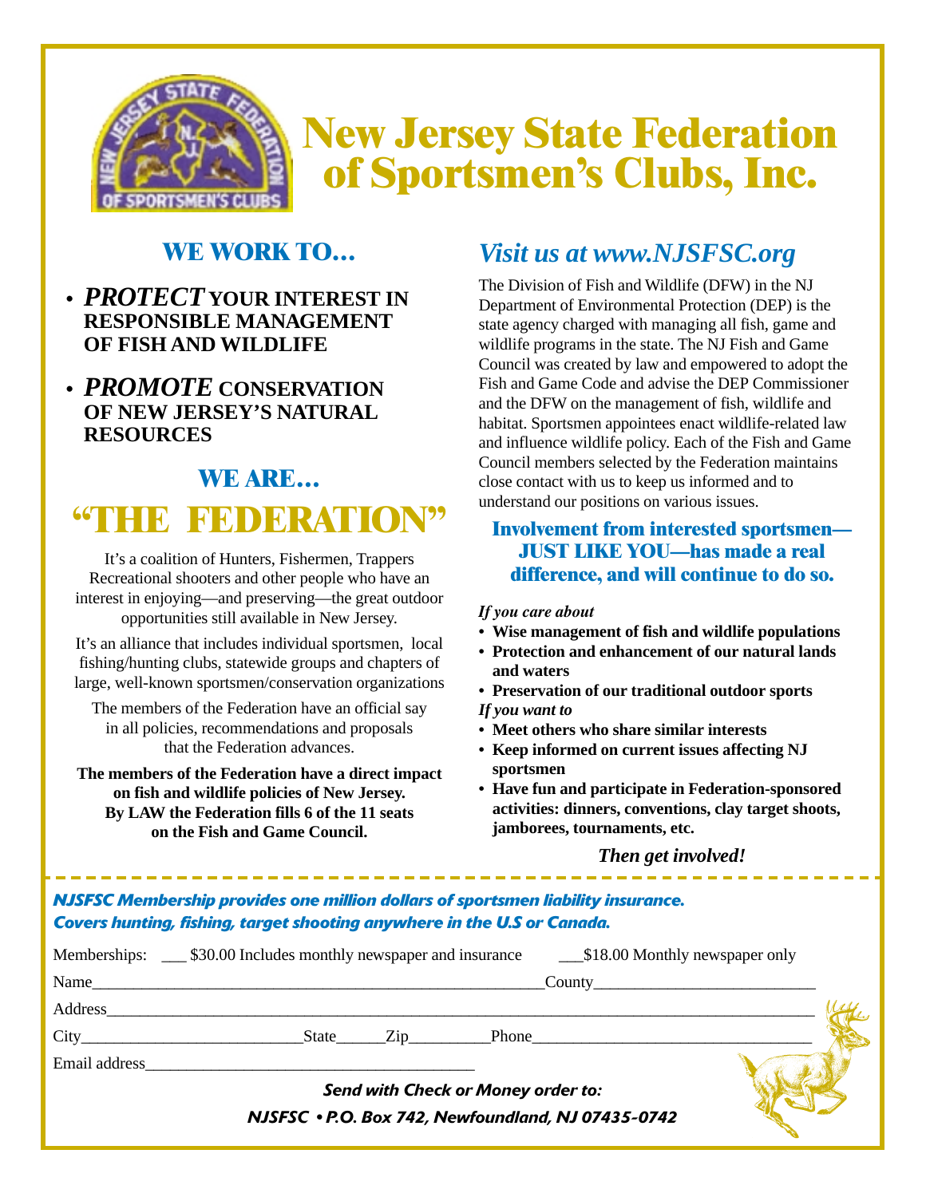

# **WE WORK TO…**

- **•** *PROTECT* **YOUR INTEREST IN RESPONSIBLE MANAGEMENT OF FISH AND WILDLIFE**
- **•** *PROMOTE* **CONSERVATION OF NEW JERSEY'S NATURAL RESOURCES**

## **WE ARE…**

# **"THE FEDERATION"**

It's a coalition of Hunters, Fishermen, Trappers Recreational shooters and other people who have an interest in enjoying—and preserving—the great outdoor opportunities still available in New Jersey.

It's an alliance that includes individual sportsmen, local fishing/hunting clubs, statewide groups and chapters of large, well-known sportsmen/conservation organizations

The members of the Federation have an official say in all policies, recommendations and proposals that the Federation advances.

**The members of the Federation have a direct impact on fish and wildlife policies of New Jersey. By LAW the Federation fills 6 of the 11 seats on the Fish and Game Council.**

# *Visit us at www.NJSFSC.org*

The Division of Fish and Wildlife (DFW) in the NJ Department of Environmental Protection (DEP) is the state agency charged with managing all fish, game and wildlife programs in the state. The NJ Fish and Game Council was created by law and empowered to adopt the Fish and Game Code and advise the DEP Commissioner and the DFW on the management of fish, wildlife and habitat. Sportsmen appointees enact wildlife-related law and influence wildlife policy. Each of the Fish and Game Council members selected by the Federation maintains close contact with us to keep us informed and to understand our positions on various issues.

### **Involvement from interested sportsmen— JUST LIKE YOU—has made a real difference, and will continue to do so.**

### *If you care about*

- **Wise management of fish and wildlife populations**
- **Protection and enhancement of our natural lands and waters**
- **Preservation of our traditional outdoor sports** *If you want to*
- **Meet others who share similar interests**
- **Keep informed on current issues affecting NJ sportsmen**
- **Have fun and participate in Federation-sponsored activities: dinners, conventions, clay target shoots, jamborees, tournaments, etc.**

### *Then get involved!*

## *NJSFSC Membership provides one million dollars of sportsmen liability insurance. Covers hunting, fishing, target shooting anywhere in the U.S or Canada.*

|               | Name                                               |  |
|---------------|----------------------------------------------------|--|
|               | <b>Address</b>                                     |  |
|               | State Zip<br>Phone                                 |  |
| Email address |                                                    |  |
|               | <b>Send with Check or Money order to:</b>          |  |
|               | NJSFSC · P.O. Box 742, Newfoundland, NJ 07435-0742 |  |